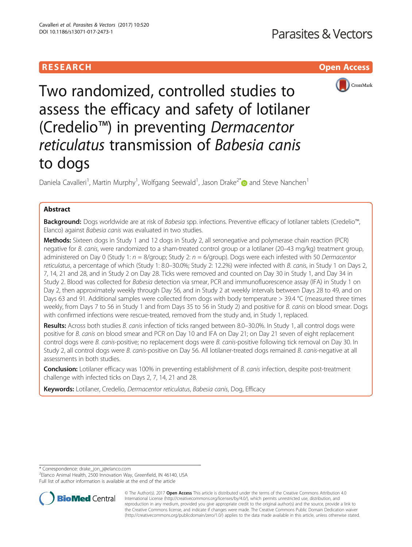# RESEARCH **RESEARCH CHOOSE ACCESS**



Two randomized, controlled studies to assess the efficacy and safety of lotilaner (Credelio™) in preventing Dermacentor reticulatus transmission of Babesia canis to dogs

Daniela Cavalleri<sup>1</sup>, Martin Murphy<sup>1</sup>, Wolfgang Seewald<sup>1</sup>, Jason Drake<sup>2\*</sup> and Steve Nanchen<sup>1</sup>

# Abstract

Background: Dogs worldwide are at risk of Babesia spp. infections. Preventive efficacy of lotilaner tablets (Credelio™, Elanco) against Babesia canis was evaluated in two studies.

Methods: Sixteen dogs in Study 1 and 12 dogs in Study 2, all seronegative and polymerase chain reaction (PCR) negative for B. canis, were randomized to a sham-treated control group or a lotilaner (20–43 mg/kg) treatment group, administered on Day 0 (Study 1:  $n = 8$ /group; Study 2:  $n = 6$ /group). Dogs were each infested with 50 Dermacentor reticulatus, a percentage of which (Study 1: 8.0–30.0%; Study 2: 12.2%) were infected with B. canis, in Study 1 on Days 2, 7, 14, 21 and 28, and in Study 2 on Day 28. Ticks were removed and counted on Day 30 in Study 1, and Day 34 in Study 2. Blood was collected for Babesia detection via smear, PCR and immunofluorescence assay (IFA) in Study 1 on Day 2, then approximately weekly through Day 56, and in Study 2 at weekly intervals between Days 28 to 49, and on Days 63 and 91. Additional samples were collected from dogs with body temperature  $>$  39.4 °C (measured three times weekly, from Days 7 to 56 in Study 1 and from Days 35 to 56 in Study 2) and positive for B. canis on blood smear. Dogs with confirmed infections were rescue-treated, removed from the study and, in Study 1, replaced.

Results: Across both studies B. canis infection of ticks ranged between 8.0–30.0%. In Study 1, all control dogs were positive for B. canis on blood smear and PCR on Day 10 and IFA on Day 21; on Day 21 seven of eight replacement control dogs were B. canis-positive; no replacement dogs were B. canis-positive following tick removal on Day 30. In Study 2, all control dogs were B. canis-positive on Day 56. All lotilaner-treated dogs remained B. canis-negative at all assessments in both studies.

Conclusion: Lotilaner efficacy was 100% in preventing establishment of B. canis infection, despite post-treatment challenge with infected ticks on Days 2, 7, 14, 21 and 28.

Keywords: Lotilaner, Credelio, Dermacentor reticulatus, Babesia canis, Dog, Efficacy

\* Correspondence: [drake\\_jon\\_j@elanco.com](mailto:drake_jon_j@elanco.com) <sup>2</sup>

<sup>2</sup> Elanco Animal Health, 2500 Innovation Way, Greenfield, IN 46140, USA Full list of author information is available at the end of the article



© The Author(s). 2017 **Open Access** This article is distributed under the terms of the Creative Commons Attribution 4.0 International License [\(http://creativecommons.org/licenses/by/4.0/](http://creativecommons.org/licenses/by/4.0/)), which permits unrestricted use, distribution, and reproduction in any medium, provided you give appropriate credit to the original author(s) and the source, provide a link to the Creative Commons license, and indicate if changes were made. The Creative Commons Public Domain Dedication waiver [\(http://creativecommons.org/publicdomain/zero/1.0/](http://creativecommons.org/publicdomain/zero/1.0/)) applies to the data made available in this article, unless otherwise stated.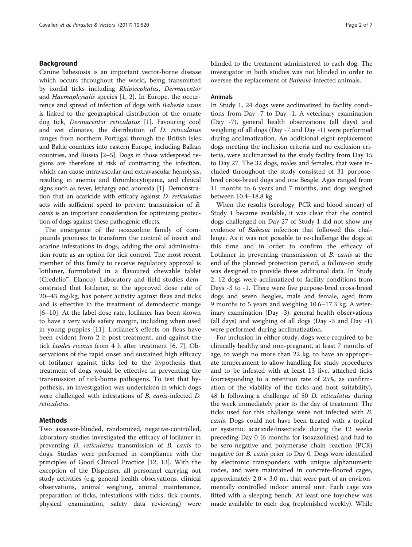### Background

Canine babesiosis is an important vector-borne disease which occurs throughout the world, being transmitted by ixodid ticks including Rhipicephalus, Dermacentor and Haemaphysalis species [\[1](#page-5-0), [2\]](#page-5-0). In Europe, the occurrence and spread of infection of dogs with Babesia canis is linked to the geographical distribution of the ornate dog tick, Dermacentor reticulatus [\[1](#page-5-0)]. Favouring cool and wet climates, the distribution of D. reticulatus ranges from northern Portugal through the British Isles and Baltic countries into eastern Europe, including Balkan countries, and Russia [\[2](#page-5-0)–[5\]](#page-5-0). Dogs in those widespread regions are therefore at risk of contracting the infection, which can cause intravascular and extravascular hemolysis, resulting in anemia and thrombocytopenia, and clinical signs such as fever, lethargy and anorexia [[1\]](#page-5-0). Demonstration that an acaricide with efficacy against D. reticulatus acts with sufficient speed to prevent transmission of B. canis is an important consideration for optimizing protection of dogs against these pathogenic effects.

The emergence of the isoxazoline family of compounds promises to transform the control of insect and acarine infestations in dogs, adding the oral administration route as an option for tick control. The most recent member of this family to receive regulatory approval is lotilaner, formulated in a flavoured chewable tablet (Credelio™, Elanco). Laboratory and field studies demonstrated that lotilaner, at the approved dose rate of 20–43 mg/kg, has potent activity against fleas and ticks and is effective in the treatment of demodectic mange [[6](#page-5-0)–[10\]](#page-5-0). At the label dose rate, lotilaner has been shown to have a very wide safety margin, including when used in young puppies [[11\]](#page-6-0). Lotilaner's effects on fleas have been evident from 2 h post-treatment, and against the tick Ixodes ricinus from 4 h after treatment [[6, 7\]](#page-5-0). Observations of the rapid onset and sustained high efficacy of lotilaner against ticks led to the hypothesis that treatment of dogs would be effective in preventing the transmission of tick-borne pathogens. To test that hypothesis, an investigation was undertaken in which dogs were challenged with infestations of B. canis-infected D. reticulatus.

### **Methods**

Two assessor-blinded, randomized, negative-controlled, laboratory studies investigated the efficacy of lotilaner in preventing D. reticulatus transmission of B. canis to dogs. Studies were performed in compliance with the principles of Good Clinical Practice [\[12](#page-6-0), [13](#page-6-0)]. With the exception of the Dispenser, all personnel carrying out study activities (e.g. general health observations, clinical observations, animal weighing, animal maintenance, preparation of ticks, infestations with ticks, tick counts, physical examination, safety data reviewing) were blinded to the treatment administered to each dog. The investigator in both studies was not blinded in order to oversee the replacement of Babesia-infected animals.

### Animals

In Study 1, 24 dogs were acclimatized to facility conditions from Day -7 to Day -1. A veterinary examination (Day -7), general health observations (all days) and weighing of all dogs (Day -7 and Day -1) were performed during acclimatization. An additional eight replacement dogs meeting the inclusion criteria and no exclusion criteria, were acclimatized to the study facility from Day 15 to Day 27. The 32 dogs, males and females, that were included throughout the study consisted of 31 purposebred cross-breed dogs and one Beagle. Ages ranged from 11 months to 6 years and 7 months, and dogs weighed between 10.4–18.8 kg.

When the results (serology, PCR and blood smear) of Study 1 became available, it was clear that the control dogs challenged on Day 27 of Study 1 did not show any evidence of Babesia infection that followed this challenge. As it was not possible to re-challenge the dogs at this time and in order to confirm the efficacy of Lotilaner in preventing transmission of B. canis at the end of the planned protection period, a follow-on study was designed to provide these additional data. In Study 2, 12 dogs were acclimatized to facility conditions from Days -3 to -1. There were five purpose-bred cross-breed dogs and seven Beagles, male and female, aged from 9 months to 5 years and weighing 10.6–17.3 kg. A veterinary examination (Day -3), general health observations (all days) and weighing of all dogs (Day -3 and Day -1) were performed during acclimatization.

For inclusion in either study, dogs were required to be clinically healthy and non-pregnant, at least 7 months of age, to weigh no more than 22 kg, to have an appropriate temperament to allow handling for study procedures and to be infested with at least 13 live, attached ticks (corresponding to a retention rate of 25%, as confirmation of the viability of the ticks and host suitability), 48 h following a challenge of 50 D. reticulatus during the week immediately prior to the day of treatment. The ticks used for this challenge were not infected with B. canis. Dogs could not have been treated with a topical or systemic acaricide/insecticide during the 12 weeks preceding Day 0 (6 months for isoxazolines) and had to be sero-negative and polymerase chain reaction (PCR) negative for *B. canis* prior to Day 0. Dogs were identified by electronic transponders with unique alphanumeric codes, and were maintained in concrete-floored cages, approximately  $2.0 \times 3.0$  m., that were part of an environmentally controlled indoor animal unit. Each cage was fitted with a sleeping bench. At least one toy/chew was made available to each dog (replenished weekly). While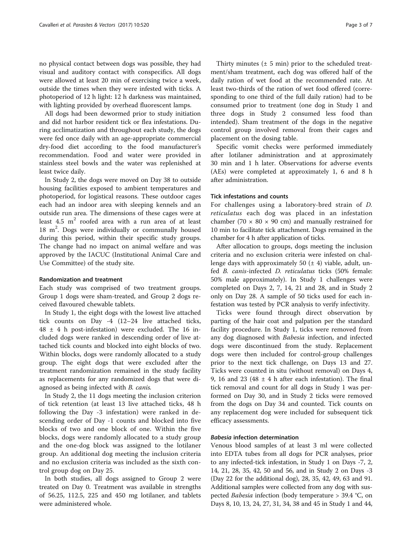no physical contact between dogs was possible, they had visual and auditory contact with conspecifics. All dogs were allowed at least 20 min of exercising twice a week, outside the times when they were infested with ticks. A photoperiod of 12 h light: 12 h darkness was maintained, with lighting provided by overhead fluorescent lamps.

All dogs had been dewormed prior to study initiation and did not harbor resident tick or flea infestations. During acclimatization and throughout each study, the dogs were fed once daily with an age-appropriate commercial dry-food diet according to the food manufacturer's recommendation. Food and water were provided in stainless steel bowls and the water was replenished at least twice daily.

In Study 2, the dogs were moved on Day 38 to outside housing facilities exposed to ambient temperatures and photoperiod, for logistical reasons. These outdoor cages each had an indoor area with sleeping kennels and an outside run area. The dimensions of these cages were at least  $4.5 \text{ m}^2$  roofed area with a run area of at least 18 m<sup>2</sup>. Dogs were individually or communally housed during this period, within their specific study groups. The change had no impact on animal welfare and was approved by the IACUC (Institutional Animal Care and Use Committee) of the study site.

### Randomization and treatment

Each study was comprised of two treatment groups. Group 1 dogs were sham-treated, and Group 2 dogs received flavoured chewable tablets.

In Study 1, the eight dogs with the lowest live attached tick counts on Day -4 (12–24 live attached ticks,  $48 \pm 4$  h post-infestation) were excluded. The 16 included dogs were ranked in descending order of live attached tick counts and blocked into eight blocks of two. Within blocks, dogs were randomly allocated to a study group. The eight dogs that were excluded after the treatment randomization remained in the study facility as replacements for any randomized dogs that were diagnosed as being infected with B. canis.

In Study 2, the 11 dogs meeting the inclusion criterion of tick retention (at least 13 live attached ticks, 48 h following the Day -3 infestation) were ranked in descending order of Day -1 counts and blocked into five blocks of two and one block of one. Within the five blocks, dogs were randomly allocated to a study group and the one-dog block was assigned to the lotilaner group. An additional dog meeting the inclusion criteria and no exclusion criteria was included as the sixth control group dog on Day 25.

In both studies, all dogs assigned to Group 2 were treated on Day 0. Treatment was available in strengths of 56.25, 112.5, 225 and 450 mg lotilaner, and tablets were administered whole.

Thirty minutes  $(\pm 5 \text{ min})$  prior to the scheduled treatment/sham treatment, each dog was offered half of the daily ration of wet food at the recommended rate. At least two-thirds of the ration of wet food offered (corresponding to one third of the full daily ration) had to be consumed prior to treatment (one dog in Study 1 and three dogs in Study 2 consumed less food than intended). Sham treatment of the dogs in the negative control group involved removal from their cages and placement on the dosing table.

Specific vomit checks were performed immediately after lotilaner administration and at approximately 30 min and 1 h later. Observations for adverse events (AEs) were completed at approximately 1, 6 and 8 h after administration.

### Tick infestations and counts

For challenges using a laboratory-bred strain of D. reticulatus each dog was placed in an infestation chamber (70  $\times$  80  $\times$  90 cm) and manually restrained for 10 min to facilitate tick attachment. Dogs remained in the chamber for 4 h after application of ticks.

After allocation to groups, dogs meeting the inclusion criteria and no exclusion criteria were infested on challenge days with approximately 50  $(\pm 4)$  viable, adult, unfed B. canis-infected D. reticulatus ticks (50% female: 50% male approximately). In Study 1 challenges were completed on Days 2, 7, 14, 21 and 28, and in Study 2 only on Day 28. A sample of 50 ticks used for each infestation was tested by PCR analysis to verify infectivity.

Ticks were found through direct observation by parting of the hair coat and palpation per the standard facility procedure. In Study 1, ticks were removed from any dog diagnosed with Babesia infection, and infected dogs were discontinued from the study. Replacement dogs were then included for control-group challenges prior to the next tick challenge, on Days 13 and 27. Ticks were counted in situ (without removal) on Days 4, 9, 16 and 23 (48  $\pm$  4 h after each infestation). The final tick removal and count for all dogs in Study 1 was performed on Day 30, and in Study 2 ticks were removed from the dogs on Day 34 and counted. Tick counts on any replacement dog were included for subsequent tick efficacy assessments.

### Babesia infection determination

Venous blood samples of at least 3 ml were collected into EDTA tubes from all dogs for PCR analyses, prior to any infected-tick infestation, in Study 1 on Days -7, 2, 14, 21, 28, 35, 42, 50 and 56, and in Study 2 on Days -3 (Day 22 for the additional dog), 28, 35, 42, 49, 63 and 91. Additional samples were collected from any dog with suspected *Babesia* infection (body temperature > 39.4 °C, on Days 8, 10, 13, 24, 27, 31, 34, 38 and 45 in Study 1 and 44,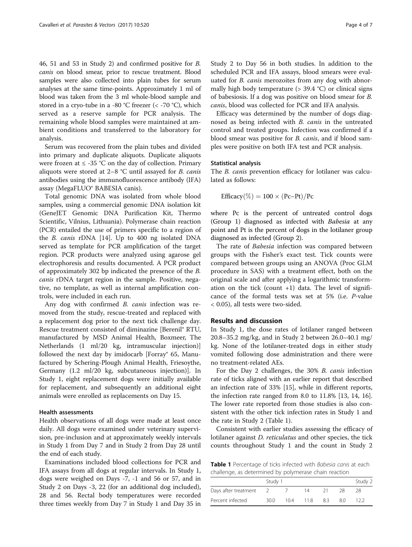46, 51 and 53 in Study 2) and confirmed positive for B. canis on blood smear, prior to rescue treatment. Blood samples were also collected into plain tubes for serum analyses at the same time-points. Approximately 1 ml of blood was taken from the 3 ml whole-blood sample and stored in a cryo-tube in a -80 °C freezer ( $\lt$  -70 °C), which served as a reserve sample for PCR analysis. The remaining whole blood samples were maintained at ambient conditions and transferred to the laboratory for analysis.

Serum was recovered from the plain tubes and divided into primary and duplicate aliquots. Duplicate aliquots were frozen at  $\leq$  -35 °C on the day of collection. Primary aliquots were stored at 2–8 °C until assayed for B. canis antibodies using the immunofluorescence antibody (IFA) assay (MegaFLUO® BABESIA canis).

Total genomic DNA was isolated from whole blood samples, using a commercial genomic DNA isolation kit (GeneJET Genomic DNA Purification Kit, Thermo Scientific, Vilnius, Lithuania). Polymerase chain reaction (PCR) entailed the use of primers specific to a region of the B. canis rDNA [[14\]](#page-6-0). Up to 400 ng isolated DNA served as template for PCR amplification of the target region. PCR products were analyzed using agarose gel electrophoresis and results documented. A PCR product of approximately 302 bp indicated the presence of the B. canis rDNA target region in the sample. Positive, negative, no template, as well as internal amplification controls, were included in each run.

Any dog with confirmed B. canis infection was removed from the study, rescue-treated and replaced with a replacement dog prior to the next tick challenge day. Rescue treatment consisted of diminazine [Berenil® RTU, manufactured by MSD Animal Health, Boxmeer, The Netherlands (1 ml/20 kg, intramuscular injection)] followed the next day by imidocarb [Forray<sup>®</sup> 65, Manufactured by Schering-Plough Animal Health, Friesoythe, Germany (1.2 ml/20 kg, subcutaneous injection)]. In Study 1, eight replacement dogs were initially available for replacement, and subsequently an additional eight animals were enrolled as replacements on Day 15.

### Health assessments

Health observations of all dogs were made at least once daily. All dogs were examined under veterinary supervision, pre-inclusion and at approximately weekly intervals in Study 1 from Day 7 and in Study 2 from Day 28 until the end of each study.

Examinations included blood collections for PCR and IFA assays from all dogs at regular intervals. In Study 1, dogs were weighed on Days -7, -1 and 56 or 57, and in Study 2 on Days -3, 22 (for an additional dog included), 28 and 56. Rectal body temperatures were recorded three times weekly from Day 7 in Study 1 and Day 35 in Study 2 to Day 56 in both studies. In addition to the scheduled PCR and IFA assays, blood smears were evaluated for *B. canis* merozoites from any dog with abnormally high body temperature  $(> 39.4 \degree C)$  or clinical signs of babesiosis. If a dog was positive on blood smear for B. canis, blood was collected for PCR and IFA analysis.

Efficacy was determined by the number of dogs diagnosed as being infected with B. canis in the untreated control and treated groups. Infection was confirmed if a blood smear was positive for B. canis, and if blood samples were positive on both IFA test and PCR analysis.

### Statistical analysis

The *B. canis* prevention efficacy for lotilaner was calculated as follows:

$$
\text{Efficacy}(\%) = 100 \times (Pc-Pt)/Pc
$$

where Pc is the percent of untreated control dogs (Group 1) diagnosed as infected with Babesia at any point and Pt is the percent of dogs in the lotilaner group diagnosed as infected (Group 2).

The rate of *Babesia* infection was compared between groups with the Fisher's exact test. Tick counts were compared between groups using an ANOVA (Proc GLM procedure in SAS) with a treatment effect, both on the original scale and after applying a logarithmic transformation on the tick (count  $+1$ ) data. The level of significance of the formal tests was set at 5% (i.e. P-value < 0.05), all tests were two-sided.

### Results and discussion

In Study 1, the dose rates of lotilaner ranged between 20.8–35.2 mg/kg, and in Study 2 between 26.0–40.1 mg/ kg. None of the lotilaner-treated dogs in either study vomited following dose administration and there were no treatment-related AEs.

For the Day 2 challenges, the 30% B. canis infection rate of ticks aligned with an earlier report that described an infection rate of 33% [[15\]](#page-6-0), while in different reports, the infection rate ranged from 8.0 to 11.8% [\[13](#page-6-0), [14, 16](#page-6-0)]. The lower rate reported from those studies is also consistent with the other tick infection rates in Study 1 and the rate in Study 2 (Table 1).

Consistent with earlier studies assessing the efficacy of lotilaner against D. reticulatus and other species, the tick counts throughout Study 1 and the count in Study 2

Table 1 Percentage of ticks infected with Babesia canis at each challenge, as determined by polymerase chain reaction

| Study 1 |     |      |    | Study 2 |     |
|---------|-----|------|----|---------|-----|
|         |     | 1Δ   |    |         | 28  |
| 30.0    | 104 | 11.8 | 83 | 80      | 122 |
|         |     |      |    |         |     |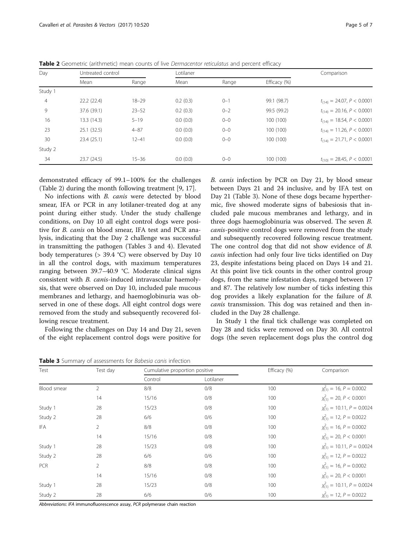| Day            |             | Untreated control |          | Lotilaner |              |                                |
|----------------|-------------|-------------------|----------|-----------|--------------|--------------------------------|
|                | Mean        | Range             | Mean     | Range     | Efficacy (%) |                                |
| Study 1        |             |                   |          |           |              |                                |
| $\overline{4}$ | 22.2(22.4)  | $18 - 29$         | 0.2(0.3) | $0 - 1$   | 99.1 (98.7)  | $t_{(14)} = 24.07, P < 0.0001$ |
| 9              | 37.6 (39.1) | $23 - 52$         | 0.2(0.3) | $0 - 2$   | 99.5 (99.2)  | $t_{(14)} = 20.16, P < 0.0001$ |
| 16             | 13.3 (14.3) | $5 - 19$          | 0.0(0.0) | $0 - 0$   | 100 (100)    | $t_{(14)} = 18.54, P < 0.0001$ |
| 23             | 25.1(32.5)  | $4 - 87$          | 0.0(0.0) | $0 - 0$   | 100 (100)    | $t_{(14)} = 11.26, P < 0.0001$ |
| 30             | 23.4(25.1)  | $12 - 41$         | 0.0(0.0) | $0 - 0$   | 100 (100)    | $t_{(14)} = 21.71, P < 0.0001$ |
| Study 2        |             |                   |          |           |              |                                |
| 34             | 23.7(24.5)  | $15 - 36$         | 0.0(0.0) | $0 - 0$   | 100 (100)    | $t_{(10)} = 28.45, P < 0.0001$ |

<span id="page-4-0"></span>Table 2 Geometric (arithmetic) mean counts of live Dermacentor reticulatus and percent efficacy

demonstrated efficacy of 99.1–100% for the challenges (Table 2) during the month following treatment [[9,](#page-5-0) [17](#page-6-0)].

No infections with B. canis were detected by blood smear, IFA or PCR in any lotilaner-treated dog at any point during either study. Under the study challenge conditions, on Day 10 all eight control dogs were positive for B. canis on blood smear, IFA test and PCR analysis, indicating that the Day 2 challenge was successful in transmitting the pathogen (Tables 3 and [4](#page-5-0)). Elevated body temperatures (> 39.4 °C) were observed by Day 10 in all the control dogs, with maximum temperatures ranging between 39.7–40.9 °C. Moderate clinical signs consistent with B. canis-induced intravascular haemolysis, that were observed on Day 10, included pale mucous membranes and lethargy, and haemoglobinuria was observed in one of these dogs. All eight control dogs were removed from the study and subsequently recovered following rescue treatment.

Following the challenges on Day 14 and Day 21, seven of the eight replacement control dogs were positive for B. canis infection by PCR on Day 21, by blood smear between Days 21 and 24 inclusive, and by IFA test on Day 21 (Table 3). None of these dogs became hyperthermic, five showed moderate signs of babesiosis that included pale mucous membranes and lethargy, and in three dogs haemoglobinuria was observed. The seven B. canis-positive control dogs were removed from the study and subsequently recovered following rescue treatment. The one control dog that did not show evidence of B. canis infection had only four live ticks identified on Day 23, despite infestations being placed on Days 14 and 21. At this point live tick counts in the other control group dogs, from the same infestation days, ranged between 17 and 87. The relatively low number of ticks infesting this dog provides a likely explanation for the failure of B. canis transmission. This dog was retained and then included in the Day 28 challenge.

In Study 1 the final tick challenge was completed on Day 28 and ticks were removed on Day 30. All control dogs (the seven replacement dogs plus the control dog

Table 3 Summary of assessments for Babesia canis infection

| Test        | Test day       | Cumulative proportion positive |           | Efficacy (%) | Comparison                               |  |
|-------------|----------------|--------------------------------|-----------|--------------|------------------------------------------|--|
|             |                | Control                        | Lotilaner |              |                                          |  |
| Blood smear | $\overline{2}$ | 8/8                            | 0/8       | 100          | $\chi_{(1)}^2 = 16, P = 0.0002$          |  |
|             | 14             | 15/16                          | 0/8       | 100          | $\chi^2_{(1)} = 20, P < 0.0001$          |  |
| Study 1     | 28             | 15/23                          | 0/8       | 100          | $\chi_{(1)}^2$ = 10.11, P = 0.0024       |  |
| Study 2     | 28             | 6/6                            | 0/6       | 100          | $\chi_{(1)}^2 = 12, P = 0.0022$          |  |
| <b>IFA</b>  | $\overline{2}$ | 8/8                            | 0/8       | 100          | $\chi^2$ <sub>(1)</sub> = 16, P = 0.0002 |  |
|             | 14             | 15/16                          | 0/8       | 100          | $\chi^{2}_{(1)} = 20, P < 0.0001$        |  |
| Study 1     | 28             | 15/23                          | 0/8       | 100          | $\chi_{(1)}^2$ = 10.11, P = 0.0024       |  |
| Study 2     | 28             | 6/6                            | 0/6       | 100          | $\chi^2_{(1)} = 12, P = 0.0022$          |  |
| <b>PCR</b>  | $\overline{2}$ | 8/8                            | 0/8       | 100          | $\chi^2_{(1)} = 16, P = 0.0002$          |  |
|             | 14             | 15/16                          | 0/8       | 100          | $\chi^2_{(1)} = 20, P < 0.0001$          |  |
| Study 1     | 28             | 15/23                          | 0/8       | 100          | $\chi^2_{(1)} = 10.11, P = 0.0024$       |  |
| Study 2     | 28             | 6/6                            | 0/6       | 100          | $\chi^{2}_{(1)} = 12, P = 0.0022$        |  |

Abbreviations: IFA immunofluorescence assay, PCR polymerase chain reaction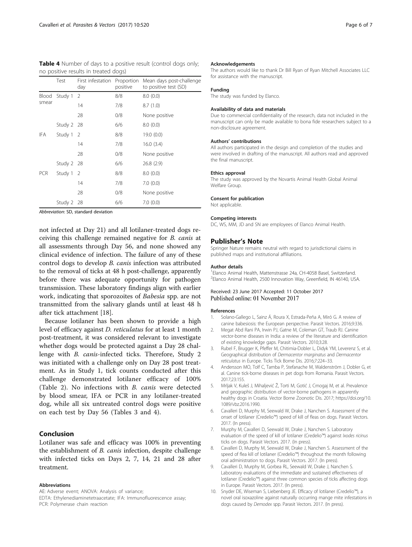<span id="page-5-0"></span>

| <b>Table 4</b> Number of days to a positive result (control dogs only; |  |  |
|------------------------------------------------------------------------|--|--|
| no positive results in treated dogs)                                   |  |  |

|                | Test       | First infestation Proportion<br>day | positive | Mean days post-challenge<br>to positive test (SD) |
|----------------|------------|-------------------------------------|----------|---------------------------------------------------|
| Blood<br>smear | Study 1    | 2                                   | 8/8      | 8.0(0.0)                                          |
|                |            | 14                                  | 7/8      | 8.7(1.0)                                          |
|                |            | 28                                  | 0/8      | None positive                                     |
|                | Study 2 28 |                                     | 6/6      | 8.0(0.0)                                          |
| IFA            | Study 1 2  |                                     | 8/8      | 19.0 (0.0)                                        |
|                |            | 14                                  | 7/8      | 16.0(3.4)                                         |
|                |            | 28                                  | 0/8      | None positive                                     |
|                | Study 2 28 |                                     | 6/6      | 26.8(2.9)                                         |
| <b>PCR</b>     | Study 1    | - 2                                 | 8/8      | 8.0(0.0)                                          |
|                |            | 14                                  | 7/8      | 7.0(0.0)                                          |
|                |            | 28                                  | 0/8      | None positive                                     |
|                | Study 2    | 28                                  | 6/6      | 7.0(0.0)                                          |

Abbreviation: SD, standard deviation

not infected at Day 21) and all lotilaner-treated dogs receiving this challenge remained negative for B. canis at all assessments through Day 56, and none showed any clinical evidence of infection. The failure of any of these control dogs to develop B. canis infection was attributed to the removal of ticks at 48 h post-challenge, apparently before there was adequate opportunity for pathogen transmission. These laboratory findings align with earlier work, indicating that sporozoites of Babesia spp. are not transmitted from the salivary glands until at least 48 h after tick attachment [\[18](#page-6-0)].

Because lotilaner has been shown to provide a high level of efficacy against D. reticulatus for at least 1 month post-treatment, it was considered relevant to investigate whether dogs would be protected against a Day 28 challenge with B. canis-infected ticks. Therefore, Study 2 was initiated with a challenge only on Day 28 post treatment. As in Study 1, tick counts conducted after this challenge demonstrated lotilaner efficacy of 100% (Table [2\)](#page-4-0). No infections with B. canis were detected by blood smear, IFA or PCR in any lotilaner-treated dog, while all six untreated control dogs were positive on each test by Day 56 (Tables [3](#page-4-0) and 4).

### Conclusion

Lotilaner was safe and efficacy was 100% in preventing the establishment of B. canis infection, despite challenge with infected ticks on Days 2, 7, 14, 21 and 28 after treatment.

#### Abbreviations

AE: Adverse event; ANOVA: Analysis of variance;

#### Acknowledgements

The authors would like to thank Dr Bill Ryan of Ryan Mitchell Associates LLC for assistance with the manuscript.

#### Funding

The study was funded by Elanco.

### Availability of data and materials

Due to commercial confidentiality of the research, data not included in the manuscript can only be made available to bona fide researchers subject to a non-disclosure agreement.

#### Authors' contributions

All authors participated in the design and completion of the studies and were involved in drafting of the manuscript. All authors read and approved the final manuscript.

#### Ethics approval

The study was approved by the Novartis Animal Health Global Animal Welfare Group.

#### Consent for publication

Not applicable.

#### Competing interests

DC, WS, MM, JD and SN are employees of Elanco Animal Health.

### Publisher's Note

Springer Nature remains neutral with regard to jurisdictional claims in published maps and institutional affiliations.

#### Author details

<sup>1</sup> Elanco Animal Health, Mattenstrasse 24a, CH-4058 Basel, Switzerland 2 Elanco Animal Health, 2500 Innovation Way, Greenfield, IN 46140, USA.

#### Received: 23 June 2017 Accepted: 11 October 2017 Published online: 01 November 2017

#### References

- 1. Solano-Gallego L, Sainz Á, Roura X, Estrada-Peña A, Miró G. A review of canine babesiosis: the European perspective. Parasit Vectors. 2016;9:336.
- 2. Megat Abd Rani PA, Irwin PJ, Gatne M, Coleman GT, Traub RJ. Canine vector-borne diseases in India: a review of the literature and identification of existing knowledge gaps. Parasit Vectors. 2010;3:28.
- 3. Rubel F, Brugger K, Pfeffer M, Chitimia-Dobler L, Didyk YM, Leverenz S, et al. Geographical distribution of Dermacentor marginatus and Dermacentor reticulatus in Europe. Ticks Tick Borne Dis. 2016;7:224–33.
- 4. Andersson MO, Tolf C, Tamba P, Stefanache M, Waldenström J, Dobler G, et al. Canine tick-borne diseases in pet dogs from Romania. Parasit Vectors. 2017;23:155.
- 5. Mrljak V, Kuleš J, Mihaljević Ž, Torti M, Gotić J, Crnogaj M, et al. Prevalence and geographic distribution of vector-borne pathogens in apparently healthy dogs in Croatia. Vector Borne Zoonotic Dis. 2017; [https://doi.org/10.](http://dx.doi.org/10.1089/vbz.2016.1990) [1089/vbz.2016.1990](http://dx.doi.org/10.1089/vbz.2016.1990).
- 6. Cavalleri D, Murphy M, Seewald W, Drake J, Nanchen S. Assessment of the onset of lotilaner (Credelio™) speed of kill of fleas on dogs. Parasit Vectors. 2017. (In press).
- 7. Murphy M, Cavalleri D, Seewald W, Drake J, Nanchen S. Laboratory evaluation of the speed of kill of lotilaner (Credelio™) against Ixodes ricinus ticks on dogs. Parasit Vectors. 2017. (In press).
- 8. Cavalleri D, Murphy M, Seewald W, Drake J, Nanchen S. Assessment of the speed of flea kill of lotilaner (Credelio™) throughout the month following oral administration to dogs. Parasit Vectors. 2017. (In press).
- 9. Cavalleri D, Murphy M, Gorbea RL, Seewald W, Drake J, Nanchen S. Laboratory evaluations of the immediate and sustained effectiveness of lotilaner (Credelio™) against three common species of ticks affecting dogs in Europe. Parasit Vectors. 2017. (In press).
- 10. Snyder DE, Wiseman S, Liebenberg JE. Efficacy of lotilaner (Credelio™), a novel oral isoxazoline against naturally occurring mange mite infestations in dogs caused by Demodex spp. Parasit Vectors. 2017. (In press).

EDTA: Ethylenediaminetetraacetate; IFA: Immunofluorescence assay; PCR: Polymerase chain reaction